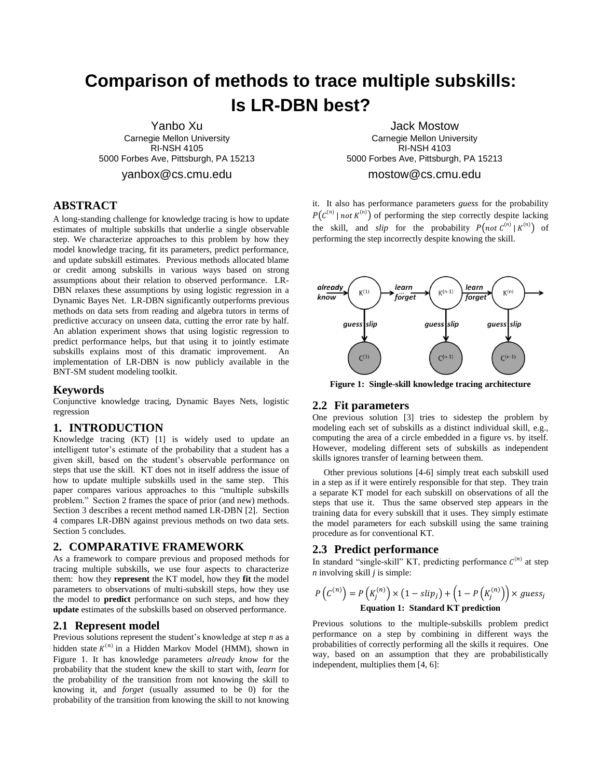# **Comparison of methods to trace multiple subskills: Is LR-DBN best?**

Yanbo Xu Carnegie Mellon University RI-NSH 4105 5000 Forbes Ave, Pittsburgh, PA 15213

yanbox@cs.cmu.edu

# **ABSTRACT**

A long-standing challenge for knowledge tracing is how to update estimates of multiple subskills that underlie a single observable step. We characterize approaches to this problem by how they model knowledge tracing, fit its parameters, predict performance, and update subskill estimates. Previous methods allocated blame or credit among subskills in various ways based on strong assumptions about their relation to observed performance. LR-DBN relaxes these assumptions by using logistic regression in a Dynamic Bayes Net. LR-DBN significantly outperforms previous methods on data sets from reading and algebra tutors in terms of predictive accuracy on unseen data, cutting the error rate by half. An ablation experiment shows that using logistic regression to predict performance helps, but that using it to jointly estimate subskills explains most of this dramatic improvement. An implementation of LR-DBN is now publicly available in the BNT-SM student modeling toolkit.

#### **Keywords**

Conjunctive knowledge tracing, Dynamic Bayes Nets, logistic regression

# **1. INTRODUCTION**

Knowledge tracing (KT) [\[1\]](#page-7-0) is widely used to update an intelligent tutor's estimate of the probability that a student has a given skill, based on the student's observable performance on steps that use the skill. KT does not in itself address the issue of how to update multiple subskills used in the same step. This paper compares various approaches to this "multiple subskills problem." Section 2 frames the space of prior (and new) methods. Sectio[n 3](#page-1-0) describes a recent method named LR-DBN [\[2\]](#page-7-1). Section 4 compares LR-DBN against previous methods on two data sets. Section 5 concludes.

### **2. COMPARATIVE FRAMEWORK**

As a framework to compare previous and proposed methods for tracing multiple subskills, we use four aspects to characterize them: how they **represent** the KT model, how they **fit** the model parameters to observations of multi-subskill steps, how they use the model to **predict** performance on such steps, and how they **update** estimates of the subskills based on observed performance.

### **2.1 Represent model**

Previous solutions represent the student's knowledge at step *n* as a hidden state  $K^{(n)}$  in a Hidden Markov Model (HMM), shown in [Figure 1.](#page-0-0) It has knowledge parameters *already know* for the probability that the student knew the skill to start with, *learn* for the probability of the transition from not knowing the skill to knowing it, and *forget* (usually assumed to be 0) for the probability of the transition from knowing the skill to not knowing

Jack Mostow Carnegie Mellon University RI-NSH 4103 5000 Forbes Ave, Pittsburgh, PA 15213

# mostow@cs.cmu.edu

it. It also has performance parameters *guess* for the probability  $P(C^{(n)} \mid not \, K^{(n)})$  of performing the step correctly despite lacking the skill, and *slip* for the probability  $P\left(not C^{(n)} | K^{(n)}\right)$  of performing the step incorrectly despite knowing the skill.



<span id="page-0-0"></span>**Figure 1: Single-skill knowledge tracing architecture**

# **2.2 Fit parameters**

One previous solution [\[3\]](#page-7-2) tries to sidestep the problem by modeling each set of subskills as a distinct individual skill, e.g., computing the area of a circle embedded in a figure vs. by itself. However, modeling different sets of subskills as independent skills ignores transfer of learning between them.

Other previous solutions [\[4-6\]](#page-7-3) simply treat each subskill used in a step as if it were entirely responsible for that step. They train a separate KT model for each subskill on observations of all the steps that use it. Thus the same observed step appears in the training data for every subskill that it uses. They simply estimate the model parameters for each subskill using the same training procedure as for conventional KT.

#### **2.3 Predict performance**

In standard "single-skill" KT, predicting performance  $C^{(n)}$  at step *n* involving skill *j* is simple:

$$
P\left(C^{(n)}\right) = P\left(K_j^{(n)}\right) \times \left(1 - \text{slip}_j\right) + \left(1 - P\left(K_j^{(n)}\right)\right) \times \text{guess}_j
$$
  
Equation 1: Standard KT prediction

Previous solutions to the multiple-subskills problem predict performance on a step by combining in different ways the probabilities of correctly performing all the skills it requires. One way, based on an assumption that they are probabilistically independent, multiplies them [\[4,](#page-7-3) [6\]](#page-7-4):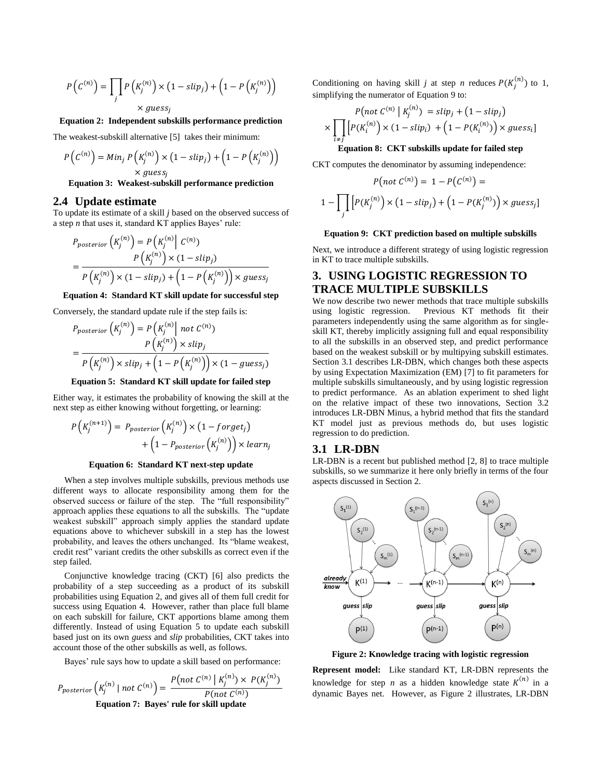$$
P(C^{(n)}) = \prod_{j} P(K_j^{(n)}) \times (1 - slip_j) + (1 - P(K_j^{(n)})
$$
  
× guess<sub>j</sub>

**Equation 2: Independent subskills performance prediction**

The weakest-subskill alternative [\[5\]](#page-7-5) takes their minimum:

$$
P(C^{(n)}) = Min_j P(K_j^{(n)}) \times (1 - slip_j) + (1 - P(K_j^{(n)}))
$$
  
× guess<sub>j</sub>

**Equation 3: Weakest-subskill performance prediction**

#### **2.4 Update estimate**

To update its estimate of a skill *j* based on the observed success of a step *n* that uses it, standard KT applies Bayes' rule:

$$
P_{posterior}\left(K_j^{(n)}\right) = P\left(K_j^{(n)}\middle| C^{(n)}\right)
$$
  
= 
$$
\frac{P\left(K_j^{(n)}\right) \times (1 - \text{slip}_j)}{P\left(K_j^{(n)}\right) \times (1 - \text{slip}_j) + \left(1 - P\left(K_j^{(n)}\right)\right) \times \text{guess}_j}
$$

#### <span id="page-1-1"></span>**Equation 4: Standard KT skill update for successful step**

Conversely, the standard update rule if the step fails is:

$$
P_{posterior}\left(K_j^{(n)}\right) = P\left(K_j^{(n)}\right) \text{ not } C^{(n)}\right)
$$

$$
= \frac{P\left(K_j^{(n)}\right) \times slip_j}{P\left(K_j^{(n)}\right) \times slip_j + \left(1 - P\left(K_j^{(n)}\right)\right) \times \left(1 - guess_j\right)}
$$

#### **Equation 5: Standard KT skill update for failed step**

<span id="page-1-2"></span>Either way, it estimates the probability of knowing the skill at the next step as either knowing without forgetting, or learning:

$$
P\left(K_j^{(n+1)}\right) = P_{posterior}\left(K_j^{(n)}\right) \times \left(1 - forget_j\right) + \left(1 - P_{posterior}\left(K_j^{(n)}\right)\right) \times learn_j
$$

#### **Equation 6: Standard KT next-step update**

When a step involves multiple subskills, previous methods use different ways to allocate responsibility among them for the observed success or failure of the step. The "full responsibility" approach applies these equations to all the subskills. The "update weakest subskill" approach simply applies the standard update equations above to whichever subskill in a step has the lowest probability, and leaves the others unchanged. Its "blame weakest, credit rest" variant credits the other subskills as correct even if the step failed.

Conjunctive knowledge tracing (CKT) [\[6\]](#page-7-4) also predicts the probability of a step succeeding as a product of its subskill probabilities using Equation 2, and gives all of them full credit for success using Equation 4*.* However, rather than place full blame on each subskill for failure, CKT apportions blame among them differently. Instead of using Equation 5 to update each subskill based just on its own *guess* and *slip* probabilities, CKT takes into account those of the other subskills as well, as follows.

Bayes' rule says how to update a skill based on performance:

$$
P_{posterior}\left(K_j^{(n)} \mid not \ C^{(n)}\right) = \frac{P(not \ C^{(n)} \mid K_j^{(n)}) \times P(K_j^{(n)})}{P(not \ C^{(n)})}
$$
  
Equation 7: Bayes' rule for skill update

Conditioning on having skill *j* at step *n* reduces  $P(K_i^{(n)})$  to 1, simplifying the numerator of Equation 9 to:

$$
P(not C^{(n)} | K_j^{(n)}) = slip_j + (1 - slip_j)
$$

$$
\times \prod_{i \neq j} \left[ P(K_i^{(n)}) \times (1 - slip_i) + (1 - P(K_i^{(n)})) \times guess_i \right]
$$

## **Equation 8: CKT subskills update for failed step**

CKT computes the denominator by assuming independence:

$$
P\big(not C^{(n)}\big) = 1 - P\big(C^{(n)}\big) =
$$

$$
-\prod_j \Big[P(K_j^{(n)}) \times \big(1 - \text{slip}_j\big) + \big(1 - P(K_j^{(n)})\big) \times \text{guess}_j\big]
$$

#### **Equation 9: CKT prediction based on multiple subskills**

Next, we introduce a different strategy of using logistic regression in KT to trace multiple subskills.

# <span id="page-1-0"></span>**3. USING LOGISTIC REGRESSION TO TRACE MULTIPLE SUBSKILLS**

We now describe two newer methods that trace multiple subskills using logistic regression. Previous KT methods fit their parameters independently using the same algorithm as for singleskill KT, thereby implicitly assigning full and equal responsibility to all the subskills in an observed step, and predict performance based on the weakest subskill or by multipying subskill estimates. Section 3.1 describes LR-DBN, which changes both these aspects by using Expectation Maximization (EM) [\[7\]](#page-7-6) to fit parameters for multiple subskills simultaneously, and by using logistic regression to predict performance. As an ablation experiment to shed light on the relative impact of these two innovations, Section [3.2](#page-2-0) introduces LR-DBN Minus, a hybrid method that fits the standard KT model just as previous methods do, but uses logistic regression to do prediction.

#### **3.1 LR-DBN**

 $\mathbf{1}$ 

LR-DBN is a recent but published method [\[2,](#page-7-1) [8\]](#page-7-7) to trace multiple subskills, so we summarize it here only briefly in terms of the four aspects discussed in Section 2.



**Figure 2: Knowledge tracing with logistic regression**

**Represent model:** Like standard KT, LR-DBN represents the knowledge for step *n* as a hidden knowledge state  $K^{(n)}$  in a dynamic Bayes net. However, as Figure 2 illustrates, LR-DBN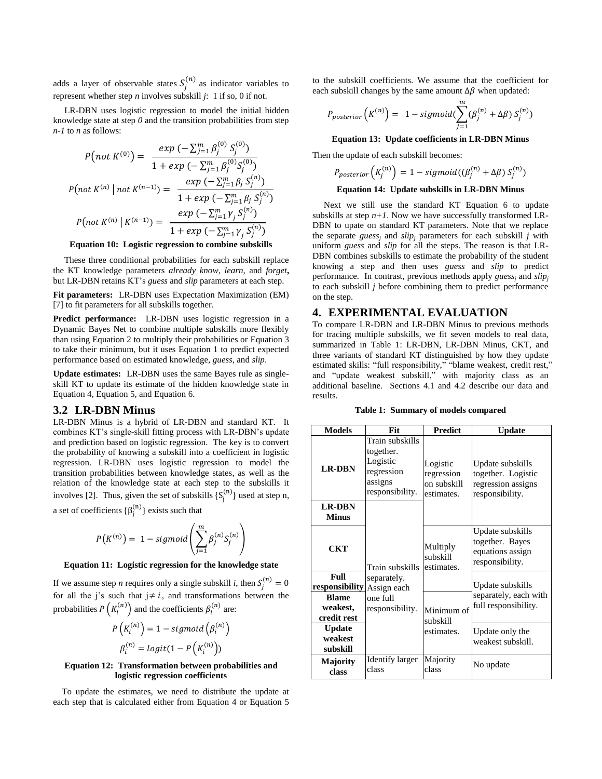adds a layer of observable states  $S_i^{(n)}$  as indicator variables to represent whether step *n* involves subskill *j*: 1 if so, 0 if not.

LR-DBN uses logistic regression to model the initial hidden knowledge state at step *0* and the transition probabilities from step *n-1* to *n* as follows:

 $\sim$ 

$$
P\left( not\ K^{(0)} \right) = \ \frac{exp\ \left( -\sum_{j=1}^{m} \beta_{j}^{(0)} S_{j}^{(0)} \right)}{1 + exp\ \left( -\sum_{j=1}^{m} \beta_{j}^{(0)} S_{j}^{(0)} \right)}
$$
\n
$$
P\left( not\ K^{(n)} \mid not\ K^{(n-1)} \right) = \ \frac{exp\ \left( -\sum_{j=1}^{m} \beta_{j} S_{j}^{(n)} \right)}{1 + exp\ \left( -\sum_{j=1}^{m} \beta_{j} S_{j}^{(n)} \right)}
$$
\n
$$
P\left( not\ K^{(n)} \mid K^{(n-1)} \right) = \ \frac{exp\ \left( -\sum_{j=1}^{m} \gamma_{j} S_{j}^{(n)} \right)}{1 + exp\ \left( -\sum_{j=1}^{m} \gamma_{j} S_{j}^{(n)} \right)}
$$

#### **Equation 10: Logistic regression to combine subskills**

<span id="page-2-1"></span>These three conditional probabilities for each subskill replace the KT knowledge parameters *already know*, *learn*, and *forget***,**  but LR-DBN retains KT's *guess* and *slip* parameters at each step.

**Fit parameters:** LR-DBN uses Expectation Maximization (EM) [\[7\]](#page-7-6) to fit parameters for all subskills together.

**Predict performance:** LR-DBN uses logistic regression in a Dynamic Bayes Net to combine multiple subskills more flexibly than using Equation 2 to multiply their probabilities or Equation 3 to take their minimum, but it uses Equation 1 to predict expected performance based on estimated knowledge, *guess,* and *slip*.

**Update estimates:** LR-DBN uses the same Bayes rule as singleskill KT to update its estimate of the hidden knowledge state in Equation 4, Equation 5, and Equation 6.

#### <span id="page-2-0"></span>**3.2 LR-DBN Minus**

LR-DBN Minus is a hybrid of LR-DBN and standard KT. It combines KT's single-skill fitting process with LR-DBN's update and prediction based on logistic regression. The key is to convert the probability of knowing a subskill into a coefficient in logistic regression. LR-DBN uses logistic regression to model the transition probabilities between knowledge states, as well as the relation of the knowledge state at each step to the subskills it involves [\[2\]](#page-7-1). Thus, given the set of subskills  $\{S_i^{(n)}\}$  used at step n,

a set of coefficients  $\{\beta_i^{(n)}\}$  exists such that

$$
P(K^{(n)}) = 1 - sigmoid\left(\sum_{j=1}^{m} \beta_j^{(n)} S_j^{(n)}\right)
$$

#### **Equation 11: Logistic regression for the knowledge state**

If we assume step *n* requires only a single subskill *i*, then  $S_i$ for all the j's such that  $j \neq i$ , and transformations between the probabilities  $P\left(K_i^{(n)}\right)$  and the coefficients  $\beta_i^{(n)}$  are:

$$
P\left(K_i^{(n)}\right) = 1 - sigmoid\left(\beta_i^{(n)}\right)
$$

$$
\beta_i^{(n)} = logit(1 - P\left(K_i^{(n)}\right))
$$

#### **Equation 12: Transformation between probabilities and logistic regression coefficients**

To update the estimates, we need to distribute the update at each step that is calculated either from [Equation 4](#page-1-1) or [Equation 5](#page-1-2) to the subskill coefficients. We assume that the coefficient for each subskill changes by the same amount  $\Delta \beta$  when updated:

$$
P_{posterior}\left(K^{(n)}\right) = 1 - sigmoid(\sum_{j=1}^{m} (\beta_j^{(n)} + \Delta \beta) S_j^{(n)})
$$

#### **Equation 13: Update coefficients in LR-DBN Minus**

Then the update of each subskill becomes:

$$
P_{posterior}\left(K_j^{(n)}\right) = 1 - sigmoid((\beta_j^{(n)} + \Delta \beta) S_j^{(n)})
$$

#### **Equation 14: Update subskills in LR-DBN Minus**

Next we still use the standard KT Equation 6 to update subskills at step  $n+1$ . Now we have successfully transformed LR-DBN to upate on standard KT parameters. Note that we replace the separate *guess<sub>i</sub>* and  $slip_j$  parameters for each subskill *j* with uniform *guess* and *slip* for all the steps. The reason is that LR-DBN combines subskills to estimate the probability of the student knowing a step and then uses *guess* and *slip* to predict performance. In contrast, previous methods apply *guess<sup>j</sup>* and *slip<sup>j</sup>* to each subskill *j* before combining them to predict performance on the step.

#### **4. EXPERIMENTAL EVALUATION**

To compare LR-DBN and LR-DBN Minus to previous methods for tracing multiple subskills, we fit seven models to real data, summarized in Table 1: LR-DBN, LR-DBN Minus, CKT, and three variants of standard KT distinguished by how they update estimated skills: "full responsibility," "blame weakest, credit rest," and "update weakest subskill," with majority class as an additional baseline. Sections [4.1](#page-3-0) and [4.2](#page-3-1) describe our data and results.

**Table 1: Summary of models compared**

<span id="page-2-2"></span>

| <b>Models</b>                           | Fit                                                                                                             | <b>Predict</b>                                      | <b>Update</b>                                                                   |
|-----------------------------------------|-----------------------------------------------------------------------------------------------------------------|-----------------------------------------------------|---------------------------------------------------------------------------------|
| <b>LR-DBN</b>                           | Train subskills<br>together.<br>Logistic<br>regression<br>assigns<br>responsibility.                            | Logistic<br>regression<br>on subskill<br>estimates. | Update subskills<br>together. Logistic<br>regression assigns<br>responsibility. |
| <b>LR-DBN</b><br><b>Minus</b>           |                                                                                                                 |                                                     |                                                                                 |
| <b>CKT</b>                              | Train subskills<br>separately.<br>Assign each<br>one full<br>responsibility.<br><b>Identify larger</b><br>class | Multiply<br>subskill<br>estimates.                  | Update subskills<br>together. Bayes<br>equations assign<br>responsibility.      |
| Full<br>responsibility                  |                                                                                                                 |                                                     | Update subskills<br>separately, each with<br>full responsibility.               |
| <b>Blame</b><br>weakest,<br>credit rest |                                                                                                                 | Minimum of<br>subskill<br>estimates.                |                                                                                 |
| <b>Update</b><br>weakest<br>subskill    |                                                                                                                 |                                                     | Update only the<br>weakest subskill.                                            |
| Majority<br>class                       |                                                                                                                 | Majority<br>class                                   | No update                                                                       |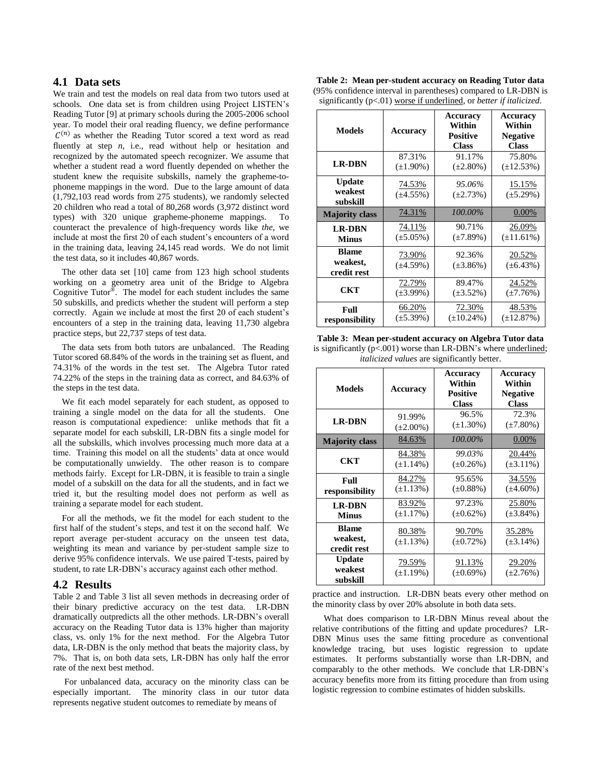## <span id="page-3-0"></span>**4.1 Data sets**

We train and test the models on real data from two tutors used at schools. One data set is from children using Project LISTEN's Reading Tutor [\[9\]](#page-7-8) at primary schools during the 2005-2006 school year. To model their oral reading fluency, we define performance  $C^{(n)}$  as whether the Reading Tutor scored a text word as read fluently at step *n*, i.e., read without help or hesitation and recognized by the automated speech recognizer. We assume that whether a student read a word fluently depended on whether the student knew the requisite subskills, namely the grapheme-tophoneme mappings in the word. Due to the large amount of data (1,792,103 read words from 275 students), we randomly selected 20 children who read a total of 80,268 words (3,972 distinct word types) with 320 unique grapheme-phoneme mappings. To counteract the prevalence of high-frequency words like *the*, we include at most the first 20 of each student's encounters of a word in the training data, leaving 24,145 read words. We do not limit the test data, so it includes 40,867 words.

The other data set [\[10\]](#page-7-9) came from 123 high school students working on a geometry area unit of the Bridge to Algebra Cognitive Tutor<sup>®</sup>. The model for each student includes the same 50 subskills, and predicts whether the student will perform a step correctly. Again we include at most the first 20 of each student's encounters of a step in the training data, leaving 11,730 algebra practice steps, but 22,737 steps of test data.

The data sets from both tutors are unbalanced. The Reading Tutor scored 68.84% of the words in the training set as fluent, and 74.31% of the words in the test set. The Algebra Tutor rated 74.22% of the steps in the training data as correct, and 84.63% of the steps in the test data.

We fit each model separately for each student, as opposed to training a single model on the data for all the students. One reason is computational expedience: unlike methods that fit a separate model for each subskill, LR-DBN fits a single model for all the subskills, which involves processing much more data at a time. Training this model on all the students' data at once would be computationally unwieldy. The other reason is to compare methods fairly. Except for LR-DBN, it is feasible to train a single model of a subskill on the data for all the students, and in fact we tried it, but the resulting model does not perform as well as training a separate model for each student.

For all the methods, we fit the model for each student to the first half of the student's steps, and test it on the second half. We report average per-student accuracy on the unseen test data, weighting its mean and variance by per-student sample size to derive 95% confidence intervals. We use paired T-tests, paired by student, to rate LR-DBN's accuracy against each other method.

# <span id="page-3-1"></span>**4.2 Results**

Table 2 and Table 3 list all seven methods in decreasing order of their binary predictive accuracy on the test data. LR-DBN dramatically outpredicts all the other methods. LR-DBN's overall accuracy on the Reading Tutor data is 13% higher than majority class, vs. only 1% for the next method. For the Algebra Tutor data, LR-DBN is the only method that beats the majority class, by 7%. That is, on both data sets, LR-DBN has only half the error rate of the next best method.

For unbalanced data, accuracy on the minority class can be especially important. The minority class in our tutor data represents negative student outcomes to remediate by means of

|  | Table 2: Mean per-student accuracy on Reading Tutor data                      |
|--|-------------------------------------------------------------------------------|
|  | (95% confidence interval in parentheses) compared to LR-DBN is                |
|  | significantly $(p<.01)$ worse if underlined, or <i>better if italicized</i> . |

| <b>Models</b>                           | <b>Accuracy</b>          | <b>Accuracy</b><br>Within<br><b>Positive</b><br><b>Class</b> | Accuracy<br>Within<br><b>Negative</b><br><b>Class</b> |
|-----------------------------------------|--------------------------|--------------------------------------------------------------|-------------------------------------------------------|
| <b>LR-DBN</b>                           | 87.31%                   | 91.17%                                                       | 75.80%                                                |
|                                         | $(\pm 1.90\%)$           | $(\pm 2.80\%)$                                               | $(\pm 12.53\%)$                                       |
| <b>Update</b><br>weakest<br>subskill    | 74.53%<br>$(\pm 4.55\%)$ | 95.06%<br>$(\pm 2.73\%)$                                     | 15.15%<br>$(\pm 5.29\%)$                              |
| <b>Majority class</b>                   | 74.31%                   | 100.00%                                                      | 0.00%                                                 |
| <b>LR-DBN</b>                           | 74.11%                   | 90.71%                                                       | 26.09%                                                |
| <b>Minus</b>                            | $(\pm 5.05\%)$           | $(\pm 7.89\%)$                                               | $(\pm 11.61\%)$                                       |
| <b>Blame</b><br>weakest,<br>credit rest | 73.90%<br>$(\pm 4.59\%)$ | 92.36%<br>$(\pm 3.86\%)$                                     | 20.52%<br>$(\pm 6.43\%)$                              |
| <b>CKT</b>                              | 72.79%                   | 89.47%                                                       | 24.52%                                                |
|                                         | $(\pm 3.99\%)$           | $(\pm 3.52\%)$                                               | $(\pm 7.76%)$                                         |
| Full                                    | 66.20%                   | 72.30%                                                       | 48.53%                                                |
| responsibility                          | $(\pm 5.39\%)$           | $(\pm 10.24\%)$                                              | $(\pm 12.87\%)$                                       |

**Table 3: Mean per-student accuracy on Algebra Tutor data** is significantly  $(p<.001)$  worse than LR-DBN's where underlined; *italicized values* are significantly better.

| <b>Models</b>                           | Accuracy                 | <b>Accuracy</b><br>Within<br><b>Positive</b><br><b>Class</b> | Accuracy<br>Within<br><b>Negative</b><br><b>Class</b> |
|-----------------------------------------|--------------------------|--------------------------------------------------------------|-------------------------------------------------------|
| <b>LR-DBN</b>                           | 91.99%<br>$(\pm 2.00\%)$ | 96.5%<br>$(\pm 1.30\%)$                                      | 72.3%<br>$(\pm 7.80\%)$                               |
| <b>Majority class</b>                   | 84.63%                   | 100.00%                                                      | 0.00%                                                 |
| <b>CKT</b>                              | 84.38%<br>$(\pm 1.14\%)$ | 99.03%<br>$(\pm 0.26\%)$                                     | 20.44%<br>$(\pm 3.11\%)$                              |
| Full<br>responsibility                  | 84.27%<br>$(\pm 1.13\%)$ | 95.65%<br>$(\pm 0.88\%)$                                     | 34.55%<br>$(\pm 4.60\%)$                              |
| <b>LR-DBN</b><br><b>Minus</b>           | 83.92%<br>$(\pm 1.17\%)$ | 97.23%<br>$(\pm 0.62\%)$                                     | 25.80%<br>$(\pm 3.84\%)$                              |
| <b>Blame</b><br>weakest,<br>credit rest | 80.38%<br>$(\pm 1.13\%)$ | 90.70%<br>$(\pm 0.72\%)$                                     | 35.28%<br>$(\pm 3.14\%)$                              |
| <b>Update</b><br>weakest<br>subskill    | 79.59%<br>$(\pm 1.19\%)$ | 91.13%<br>$(\pm 0.69\%)$                                     | 29.20%<br>$(\pm 2.76\%)$                              |

practice and instruction. LR-DBN beats every other method on the minority class by over 20% absolute in both data sets.

What does comparison to LR-DBN Minus reveal about the relative contributions of the fitting and update procedures? LR-DBN Minus uses the same fitting procedure as conventional knowledge tracing, but uses logistic regression to update estimates. It performs substantially worse than LR-DBN, and comparably to the other methods. We conclude that LR-DBN's accuracy benefits more from its fitting procedure than from using logistic regression to combine estimates of hidden subskills.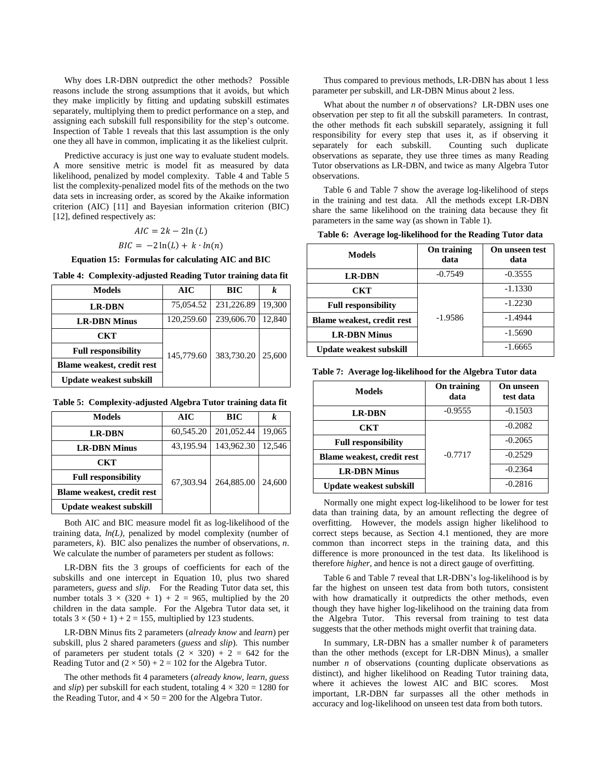Why does LR-DBN outpredict the other methods? Possible reasons include the strong assumptions that it avoids, but which they make implicitly by fitting and updating subskill estimates separately, multiplying them to predict performance on a step, and assigning each subskill full responsibility for the step's outcome. Inspection of Table 1 reveals that this last assumption is the only one they all have in common, implicating it as the likeliest culprit.

Predictive accuracy is just one way to evaluate student models. A more sensitive metric is model fit as measured by data likelihood, penalized by model complexity. Table 4 and Table 5 list the complexity-penalized model fits of the methods on the two data sets in increasing order, as scored by the Akaike information criterion (AIC) [\[11\]](#page-7-10) and Bayesian information criterion (BIC) [\[12\]](#page-7-11), defined respectively as:

#### $AIC = 2k - 2ln(L)$

## $BIC = -2\ln(L) + k \cdot ln(n)$

**Equation 15: Formulas for calculating AIC and BIC**

|  | Table 4: Complexity-adjusted Reading Tutor training data fit |  |  |
|--|--------------------------------------------------------------|--|--|
|--|--------------------------------------------------------------|--|--|

| <b>Models</b>              | AIC        | BIC        | k      |
|----------------------------|------------|------------|--------|
| <b>LR-DBN</b>              | 75,054.52  | 231,226.89 | 19,300 |
| <b>LR-DBN Minus</b>        | 120,259.60 | 239,606.70 | 12.840 |
| CKT                        |            |            |        |
| <b>Full responsibility</b> | 145,779.60 | 383,730.20 | 25,600 |
| Blame weakest, credit rest |            |            |        |
| Update weakest subskill    |            |            |        |

**Table 5: Complexity-adjusted Algebra Tutor training data fit**

| <b>Models</b>                     | AIC       | BIC        | k      |
|-----------------------------------|-----------|------------|--------|
| <b>LR-DBN</b>                     | 60,545.20 | 201,052.44 | 19.065 |
| <b>LR-DBN Minus</b>               | 43.195.94 | 143,962.30 | 12.546 |
| CKT                               |           |            |        |
| <b>Full responsibility</b>        | 67,303.94 | 264,885.00 | 24,600 |
| <b>Blame weakest, credit rest</b> |           |            |        |
| <b>Update weakest subskill</b>    |           |            |        |

Both AIC and BIC measure model fit as log-likelihood of the training data, *ln(L)*, penalized by model complexity (number of parameters, *k*). BIC also penalizes the number of observations, *n*. We calculate the number of parameters per student as follows:

LR-DBN fits the 3 groups of coefficients for each of the subskills and one intercept in [Equation 10,](#page-2-1) plus two shared parameters, *guess* and *slip*. For the Reading Tutor data set, this number totals  $3 \times (320 + 1) + 2 = 965$ , multiplied by the 20 children in the data sample. For the Algebra Tutor data set, it totals  $3 \times (50 + 1) + 2 = 155$ , multiplied by 123 students.

LR-DBN Minus fits 2 parameters (*already know* and *learn*) per subskill, plus 2 shared parameters (*guess* and *slip*). This number of parameters per student totals  $(2 \times 320) + 2 = 642$  for the Reading Tutor and  $(2 \times 50) + 2 = 102$  for the Algebra Tutor.

The other methods fit 4 parameters (*already know, learn, guess*  and *slip*) per subskill for each student, totaling  $4 \times 320 = 1280$  for the Reading Tutor, and  $4 \times 50 = 200$  for the Algebra Tutor.

Thus compared to previous methods, LR-DBN has about 1 less parameter per subskill, and LR-DBN Minus about 2 less.

What about the number *n* of observations? LR-DBN uses one observation per step to fit all the subskill parameters. In contrast, the other methods fit each subskill separately, assigning it full responsibility for every step that uses it, as if observing it separately for each subskill. Counting such duplicate observations as separate, they use three times as many Reading Tutor observations as LR-DBN, and twice as many Algebra Tutor observations.

[Table 6](#page-4-0) and Table 7 show the average log-likelihood of steps in the training and test data. All the methods except LR-DBN share the same likelihood on the training data because they fit parameters in the same way (as shown in [Table 1\)](#page-2-2).

<span id="page-4-0"></span>

| Table 6: Average log-likelihood for the Reading Tutor data |  |  |  |
|------------------------------------------------------------|--|--|--|
|------------------------------------------------------------|--|--|--|

| Models                            | On training<br>data | On unseen test<br>data |
|-----------------------------------|---------------------|------------------------|
| <b>LR-DBN</b>                     | $-0.7549$           | $-0.3555$              |
| CKT                               |                     | $-1.1330$              |
| <b>Full responsibility</b>        |                     | $-1.2230$              |
| <b>Blame weakest, credit rest</b> | $-1.9586$           | $-1.4944$              |
| <b>LR-DBN Minus</b>               |                     | $-1.5690$              |
| <b>Update weakest subskill</b>    |                     | $-1.6665$              |

**Table 7: Average log-likelihood for the Algebra Tutor data**

| <b>Models</b>                  | On training<br>data | On unseen<br>test data |
|--------------------------------|---------------------|------------------------|
| <b>LR-DBN</b>                  | $-0.9555$           | $-0.1503$              |
| <b>CKT</b>                     |                     | $-0.2082$              |
| <b>Full responsibility</b>     |                     | $-0.2065$              |
| Blame weakest, credit rest     | $-0.7717$           | $-0.2529$              |
| <b>LR-DBN Minus</b>            |                     | $-0.2364$              |
| <b>Update weakest subskill</b> |                     | $-0.2816$              |

Normally one might expect log-likelihood to be lower for test data than training data, by an amount reflecting the degree of overfitting. However, the models assign higher likelihood to correct steps because, as Section 4.1 mentioned, they are more common than incorrect steps in the training data, and this difference is more pronounced in the test data. Its likelihood is therefore *higher*, and hence is not a direct gauge of overfitting.

[Table 6](#page-4-0) and Table 7 reveal that LR-DBN's log-likelihood is by far the highest on unseen test data from both tutors, consistent with how dramatically it outpredicts the other methods, even though they have higher log-likelihood on the training data from the Algebra Tutor. This reversal from training to test data suggests that the other methods might overfit that training data.

In summary, LR-DBN has a smaller number *k* of parameters than the other methods (except for LR-DBN Minus), a smaller number *n* of observations (counting duplicate observations as distinct), and higher likelihood on Reading Tutor training data, where it achieves the lowest AIC and BIC scores. Most important, LR-DBN far surpasses all the other methods in accuracy and log-likelihood on unseen test data from both tutors.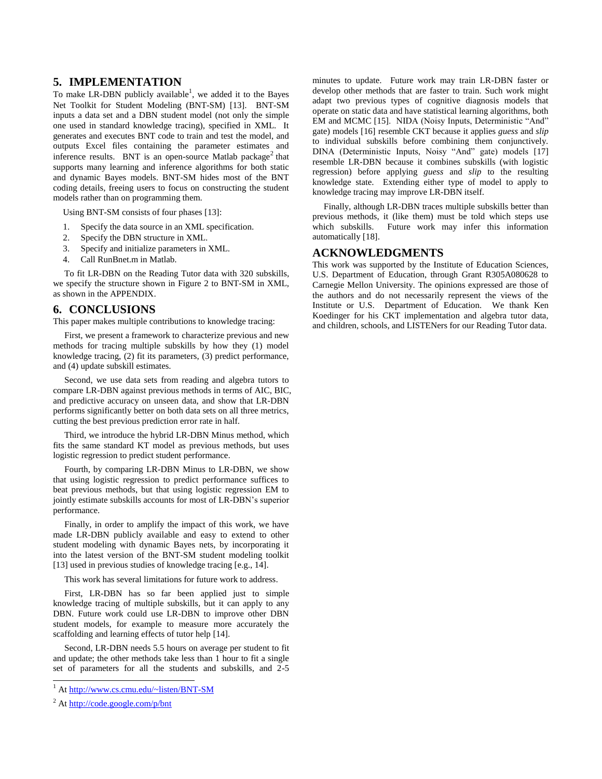# **5. IMPLEMENTATION**

To make LR-DBN publicly available<sup>1</sup>, we added it to the Bayes Net Toolkit for Student Modeling (BNT-SM) [\[13\]](#page-7-12). BNT-SM inputs a data set and a DBN student model (not only the simple one used in standard knowledge tracing), specified in XML. It generates and executes BNT code to train and test the model, and outputs Excel files containing the parameter estimates and inference results. BNT is an open-source Matlab package<sup>2</sup> that supports many learning and inference algorithms for both static and dynamic Bayes models. BNT-SM hides most of the BNT coding details, freeing users to focus on constructing the student models rather than on programming them.

Using BNT-SM consists of four phases [\[13\]](#page-7-12):

- 1. Specify the data source in an XML specification.
- 2. Specify the DBN structure in XML.
- 3. Specify and initialize parameters in XML.
- 4. Call RunBnet.m in Matlab.

To fit LR-DBN on the Reading Tutor data with 320 subskills, we specify the structure shown in Figure 2 to BNT-SM in XML, as shown in the APPENDIX.

# **6. CONCLUSIONS**

This paper makes multiple contributions to knowledge tracing:

First, we present a framework to characterize previous and new methods for tracing multiple subskills by how they (1) model knowledge tracing, (2) fit its parameters, (3) predict performance, and (4) update subskill estimates.

Second, we use data sets from reading and algebra tutors to compare LR-DBN against previous methods in terms of AIC, BIC, and predictive accuracy on unseen data, and show that LR-DBN performs significantly better on both data sets on all three metrics, cutting the best previous prediction error rate in half.

Third, we introduce the hybrid LR-DBN Minus method, which fits the same standard KT model as previous methods, but uses logistic regression to predict student performance.

Fourth, by comparing LR-DBN Minus to LR-DBN, we show that using logistic regression to predict performance suffices to beat previous methods, but that using logistic regression EM to jointly estimate subskills accounts for most of LR-DBN's superior performance.

Finally, in order to amplify the impact of this work, we have made LR-DBN publicly available and easy to extend to other student modeling with dynamic Bayes nets, by incorporating it into the latest version of the BNT-SM student modeling toolkit [\[13\]](#page-7-12) used in previous studies of knowledge tracing [\[e.g., 14\]](#page-7-13).

This work has several limitations for future work to address.

First, LR-DBN has so far been applied just to simple knowledge tracing of multiple subskills, but it can apply to any DBN. Future work could use LR-DBN to improve other DBN student models, for example to measure more accurately the scaffolding and learning effects of tutor help [\[14\]](#page-7-13).

Second, LR-DBN needs 5.5 hours on average per student to fit and update; the other methods take less than 1 hour to fit a single set of parameters for all the students and subskills, and 2-5

 $\overline{a}$ 

minutes to update. Future work may train LR-DBN faster or develop other methods that are faster to train. Such work might adapt two previous types of cognitive diagnosis models that operate on static data and have statistical learning algorithms, both EM and MCMC [\[15\]](#page-7-14). NIDA (Noisy Inputs, Deterministic "And" gate) models [\[16\]](#page-7-15) resemble CKT because it applies *guess* and *slip* to individual subskills before combining them conjunctively. DINA (Deterministic Inputs, Noisy "And" gate) models [\[17\]](#page-7-16) resemble LR-DBN because it combines subskills (with logistic regression) before applying *guess* and *slip* to the resulting knowledge state. Extending either type of model to apply to knowledge tracing may improve LR-DBN itself.

Finally, although LR-DBN traces multiple subskills better than previous methods, it (like them) must be told which steps use which subskills. Future work may infer this information automatically [\[18\]](#page-7-17).

## **ACKNOWLEDGMENTS**

This work was supported by the Institute of Education Sciences, U.S. Department of Education, through Grant R305A080628 to Carnegie Mellon University. The opinions expressed are those of the authors and do not necessarily represent the views of the Institute or U.S. Department of Education. We thank Ken Koedinger for his CKT implementation and algebra tutor data, and children, schools, and LISTENers for our Reading Tutor data.

<sup>&</sup>lt;sup>1</sup> A[t http://www.cs.cmu.edu/~listen/BNT-SM](http://www.cs.cmu.edu/~listen/BNT-SM)

<sup>2</sup> A[t http://code.google.com/p/bnt](http://code.google.com/p/bnt)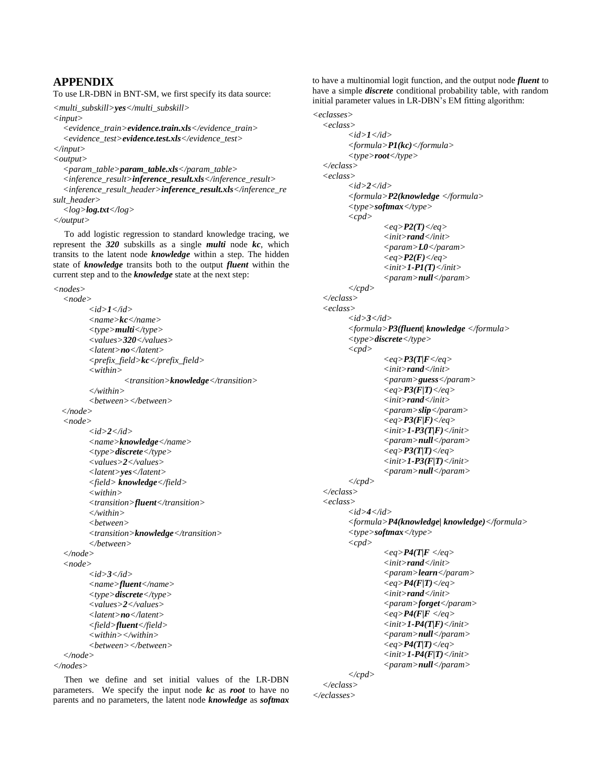# **APPENDIX**

To use LR-DBN in BNT-SM, we first specify its data source:

*<multi\_subskill>yes</multi\_subskill>*

*<input>*

*<evidence\_train>evidence.train.xls</evidence\_train> <evidence\_test>evidence.test.xls</evidence\_test> </input>*

*<output>*

*<param\_table>param\_table.xls</param\_table> <inference\_result>inference\_result.xls</inference\_result> <inference\_result\_header>inference\_result.xls</inference\_re sult\_header> <log>log.txt</log>*

*</output>*

To add logistic regression to standard knowledge tracing, we represent the *320* subskills as a single *multi* node *kc*, which transits to the latent node *knowledge* within a step. The hidden state of *knowledge* transits both to the output *fluent* within the current step and to the *knowledge* state at the next step:

*<nodes>*

*<node> <id>1</id> <name>kc</name> <type>multi</type> <values>320</values> <latent>no</latent> <prefix\_field>kc</prefix\_field> <within> <transition>knowledge</transition> </within> <between></between> </node> <node> <id>2</id> <name>knowledge</name> <type>discrete</type> <values>2</values> <latent>yes</latent> <field> knowledge</field> <within> <transition>fluent</transition> </within> <between> <transition>knowledge</transition> </between> </node> <node> <id>3</id> <name>fluent</name> <type>discrete</type> <values>2</values> <latent>no</latent> <field>fluent</field> <within></within> <between></between> </node> </nodes>*

to have a multinomial logit function, and the output node *fluent* to have a simple *discrete* conditional probability table, with random initial parameter values in LR-DBN's EM fitting algorithm:

```
<eclasses>
<eclass>
      <id>1</id>
      <formula>P1(kc)</formula>
      <type>root</type>
</eclass>
<eclass>
      <id>2</id>
      <formula>P2(knowledge </formula>
      <type>softmax</type>
      <cpd>
               <eq>P2(T)</eq>
               <init>rand</init>
               <param>L0</param>
               <eq>P2(F)</eq>
                <init>1-P1(T)</init>
               <param>null</param>
      </cpd>
</eclass>
<eclass>
      <id>3</id>
      <formula>P3(fluent| knowledge </formula>
      <type>discrete</type>
      <cpd>
               <eq>P3(T|F</eq>
                <init>rand</init>
               <param>guess</param>
               <eq>P3(F|T)</eq>
                <init>rand</init>
               <param>slip</param>
               <eq>P3(F|F)</eq>
                <init>1-P3(T|F)</init>
               <param>null</param>
               <eq>P3(T|T)</eq>
                <init>1-P3(F|T)</init>
               <param>null</param>
      </cpd>
</eclass>
<eclass>
      <id>4</id>
      <formula>P4(knowledge| knowledge)</formula>
      <type>softmax</type>
      <cpd>
               <eq>P4(T|F </eq>
               <init>rand</init>
               <param>learn</param>
               <eq>P4(F|T)</eq>
               <init>rand</init>
               <param>forget</param>
               <eq>P4(F|F </eq>
               <init>1-P4(T|F)</init>
               <param>null</param>
               <eq>P4(T|T)</eq>
               <init>1-P4(F|T)</init>
               <param>null</param>
      </cpd>
```
Then we define and set initial values of the LR-DBN parameters. We specify the input node *kc* as *root* to have no parents and no parameters, the latent node *knowledge* as *softmax*

*</eclass> </eclasses>*